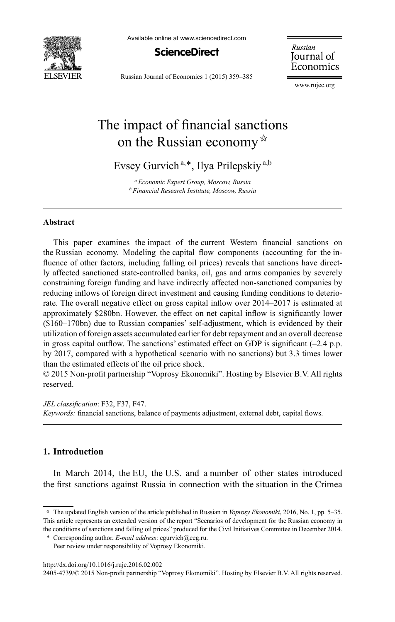

Available online at www.sciencedirect.com



Russian Journal of Economics 1 (2015) 359-385

Russian Journal of Economics

www.rujec.org

# The impact of financial sanctions on the Russian economy  $\hat{z}$

Evsey Gurvich<sup>a,\*</sup>, Ilya Prilepskiy<sup>a,b</sup>

<sup>a</sup> Economic Expert Group, Moscow, Russia <sup>b</sup> Financial Research Institute, Moscow, Russia

## **Abstract**

This paper examines the impact of the current Western financial sanctions on the Russian economy. Modeling the capital flow components (accounting for the influence of other factors, including falling oil prices) reveals that sanctions have directly affected sanctioned state-controlled banks, oil, gas and arms companies by severely constraining foreign funding and have indirectly affected non-sanctioned companies by reducing inflows of foreign direct investment and causing funding conditions to deteriorate. The overall negative effect on gross capital inflow over 2014–2017 is estimated at approximately \$280bn. However, the effect on net capital inflow is significantly lower (\$160–170bn) due to Russian companies' self-adjustment, which is evidenced by their utilization of foreign assets accumulated earlier for debt repayment and an overall decrease in gross capital outflow. The sanctions' estimated effect on GDP is significant  $(-2.4 \text{ p.p.})$ by 2017, compared with a hypothetical scenario with no sanctions) but 3.3 times lower than the estimated effects of the oil price shock.

© 2015 Non-profit partnership "Voprosy Ekonomiki". Hosting by Elsevier B.V. All rights reserved.

JEL classification: F32, F37, F47. Keywords: financial sanctions, balance of payments adjustment, external debt, capital flows.

# 1. Introduction

In March 2014, the EU, the U.S. and a number of other states introduced the first sanctions against Russia in connection with the situation in the Crimea

http://dx.doi.org/10.1016/j.ruje.2016.02.002

 $\approx$  The updated English version of the article published in Russian in Voprosy Ekonomiki, 2016, No. 1, pp. 5–35. This article represents an extended version of the report "Scenarios of development for the Russian economy in the conditions of sanctions and falling oil prices" produced for the Civil Initiatives Committee in December 2014.

<sup>\*</sup> Corresponding author, E-mail address: egurvich@eeg.ru.

Peer review under responsibility of Voprosy Ekonomiki.

<sup>2405-4739/© 2015</sup> Non-profit partnership "Voprosy Ekonomiki". Hosting by Elsevier B.V. All rights reserved.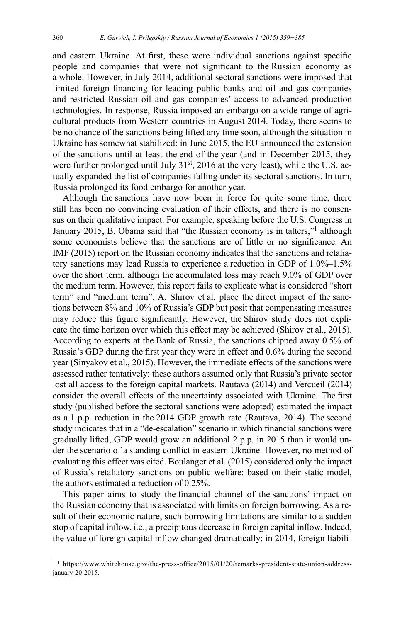and eastern Ukraine. At first, these were individual sanctions against specific people and companies that were not significant to the Russian economy as a whole. However, in July 2014, additional sectoral sanctions were imposed that limited foreign financing for leading public banks and oil and gas companies and restricted Russian oil and gas companies' access to advanced production technologies. In response, Russia imposed an embargo on a wide range of agricultural products from Western countries in August 2014. Today, there seems to be no chance of the sanctions being lifted any time soon, although the situation in Ukraine has somewhat stabilized: in June 2015, the EU announced the extension of the sanctions until at least the end of the year (and in December 2015, they were further prolonged until July 31<sup>st</sup>, 2016 at the very least), while the U.S. actually expanded the list of companies falling under its sectoral sanctions. In turn, Russia prolonged its food embargo for another year.

Although the sanctions have now been in force for quite some time, there still has been no convincing evaluation of their effects, and there is no consensus on their qualitative impact. For example, speaking before the U.S. Congress in January 2015, B. Obama said that "the Russian economy is in tatters,"<sup>1</sup> although some economists believe that the sanctions are of little or no significance. An IMF (2015) report on the Russian economy indicates that the sanctions and retaliatory sanctions may lead Russia to experience a reduction in GDP of 1.0%–1.5% over the short term, although the accumulated loss may reach 9.0% of GDP over the medium term. However, this report fails to explicate what is considered "short term" and "medium term". A. Shirov et al. place the direct impact of the sanctions between 8% and 10% of Russia's GDP but posit that compensating measures may reduce this figure significantly. However, the Shirov study does not explicate the time horizon over which this effect may be achieved (Shirov et al., 2015). According to experts at the Bank of Russia, the sanctions chipped away  $0.5\%$  of Russia's GDP during the first year they were in effect and  $0.6\%$  during the second year (Sinyakov et al., 2015). However, the immediate effects of the sanctions were assessed rather tentatively: these authors assumed only that Russia's private sector lost all access to the foreign capital markets. Rautava (2014) and Vercueil (2014) consider the overall effects of the uncertainty associated with Ukraine. The first study (published before the sectoral sanctions were adopted) estimated the impact as a 1 p.p. reduction in the 2014 GDP growth rate (Rautava, 2014). The second study indicates that in a "de-escalation" scenario in which financial sanctions were gradually lifted, GDP would grow an additional 2 p.p. in 2015 than it would under the scenario of a standing conflict in eastern Ukraine. However, no method of evaluating this effect was cited. Boulanger et al. (2015) considered only the impact of Russia's retaliatory sanctions on public welfare: based on their static model, the authors estimated a reduction of 0.25%.

This paper aims to study the financial channel of the sanctions' impact on the Russian economy that is associated with limits on foreign borrowing. As a result of their economic nature, such borrowing limitations are similar to a sudden stop of capital inflow, i.e., a precipitous decrease in foreign capital inflow. Indeed, the value of foreign capital inflow changed dramatically: in 2014, foreign liabili-

 $1$  https://www.whitehouse.gov/the-press-office/2015/01/20/remarks-president-state-union-addressjanuary[-20-2015.](https://www.whitehouse.gov/the-press-office/2015/01/20/remarks-president-state-union-address-january-20-2015)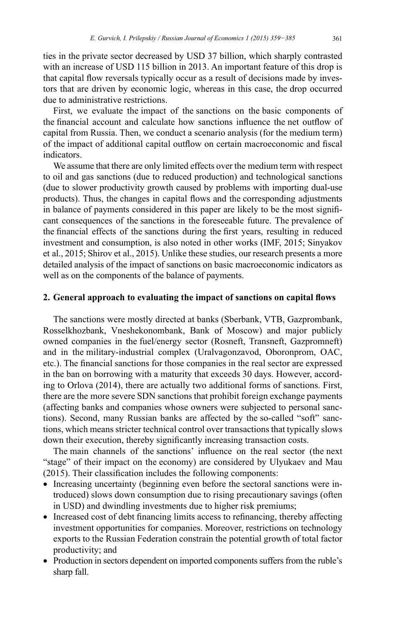ties in the private sector decreased by USD 37 billion, which sharply contrasted with an increase of USD 115 billion in 2013. An important feature of this drop is that capital flow reversals typically occur as a result of decisions made by investors that are driven by economic logic, whereas in this case, the drop occurred due to administrative restrictions.

First, we evaluate the impact of the sanctions on the basic components of the financial account and calculate how sanctions influence the net outflow of capital from Russia. Then, we conduct a scenario analysis (for the medium term) of the impact of additional capital outflow on certain macroeconomic and fiscal indicators.

We assume that there are only limited effects over the medium term with respect to oil and gas sanctions (due to reduced production) and technological sanctions (due to slower productivity growth caused by problems with importing dual-use products). Thus, the changes in capital flows and the corresponding adjustments in balance of payments considered in this paper are likely to be the most significant consequences of the sanctions in the foreseeable future. The prevalence of the financial effects of the sanctions during the first years, resulting in reduced investment and consumption, is also noted in other works (IMF, 2015; Sinyakov et al., 2015; Shirov et al., 2015). Unlike these studies, our research presents a more detailed analysis of the impact of sanctions on basic macroeconomic indicators as well as on the components of the balance of payments.

# 2. General approach to evaluating the impact of sanctions on capital flows

The sanctions were mostly directed at banks (Sberbank, VTB, Gazprombank, Rosselkhozbank, Vneshekonombank, Bank of Moscow) and major publicly owned companies in the fuel/energy sector (Rosneft, Transneft, Gazpromneft) and in the military-industrial complex (Uralvagonzavod, Oboronprom, OAC, etc.). The financial sanctions for those companies in the real sector are expressed in the ban on borrowing with a maturity that exceeds 30 days. However, according to Orlova (2014), there are actually two additional forms of sanctions. First, there are the more severe SDN sanctions that prohibit foreign exchange payments (affecting banks and companies whose owners were subjected to personal sanctions). Second, many Russian banks are affected by the so-called "soft" sanctions, which means stricter technical control over transactions that typically slows down their execution, thereby significantly increasing transaction costs.

The main channels of the sanctions' influence on the real sector (the next "stage" of their impact on the economy) are considered by Ulyukaev and Mau  $(2015)$ . Their classification includes the following components:

- Increasing uncertainty (beginning even before the sectoral sanctions were introduced) slows down consumption due to rising precautionary savings (often in USD) and dwindling investments due to higher risk premiums;
- Increased cost of debt financing limits access to refinancing, thereby affecting investment opportunities for companies. Moreover, restrictions on technology exports to the Russian Federation constrain the potential growth of total factor productivity; and
- Production in sectors dependent on imported components suffers from the ruble's sharp fall.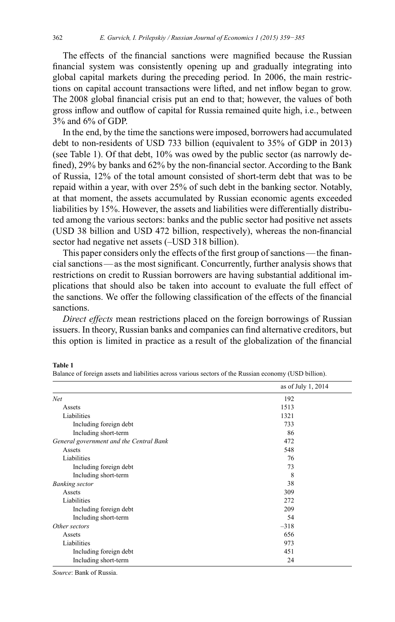The effects of the financial sanctions were magnified because the Russian financial system was consistently opening up and gradually integrating into global capital markets during the preceding period. In 2006, the main restrictions on capital account transactions were lifted, and net inflow began to grow. The 2008 global financial crisis put an end to that; however, the values of both gross inflow and outflow of capital for Russia remained quite high, i.e., between 3% and 6% of GDP.

In the end, by the time the sanctions were imposed, borrowers had accumulated debt to non-residents of USD 733 billion (equivalent to 35% of GDP in 2013) (see Table 1). Of that debt, 10% was owed by the public sector (as narrowly defined), 29% by banks and 62% by the non-financial sector. According to the Bank of Russia, 12% of the total amount consisted of short-term debt that was to be repaid within a year, with over 25% of such debt in the banking sector. Notably, at that moment, the assets accumulated by Russian economic agents exceeded liabilities by 15%. However, the assets and liabilities were differentially distributed among the various sectors: banks and the public sector had positive net assets (USD 38 billion and USD 472 billion, respectively), whereas the non-financial sector had negative net assets (-USD 318 billion).

This paper considers only the effects of the first group of sanctions—the financial sanctions—as the most significant. Concurrently, further analysis shows that restrictions on credit to Russian borrowers are having substantial additional implications that should also be taken into account to evaluate the full effect of the sanctions. We offer the following classification of the effects of the financial sanctions.

Direct effects mean restrictions placed on the foreign borrowings of Russian issuers. In theory, Russian banks and companies can find alternative creditors, but this option is limited in practice as a result of the globalization of the financial

|                                         | as of July 1, 2014 |
|-----------------------------------------|--------------------|
| Net                                     | 192                |
| Assets                                  | 1513               |
| Liabilities                             | 1321               |
| Including foreign debt                  | 733                |
| Including short-term                    | 86                 |
| General government and the Central Bank | 472                |
| Assets                                  | 548                |
| Liabilities                             | 76                 |
| Including foreign debt                  | 73                 |
| Including short-term                    | 8                  |
| <b>Banking</b> sector                   | 38                 |
| Assets                                  | 309                |
| Liabilities                             | 272                |
| Including foreign debt                  | 209                |
| Including short-term                    | 54                 |
| Other sectors                           | $-318$             |
| Assets                                  | 656                |
| Liabilities                             | 973                |
| Including foreign debt                  | 451                |
| Including short-term                    | 24                 |

#### **Table 1**

Balance of foreign assets and liabilities across various sectors of the Russian economy (USD billion).

Source: Bank of Russia.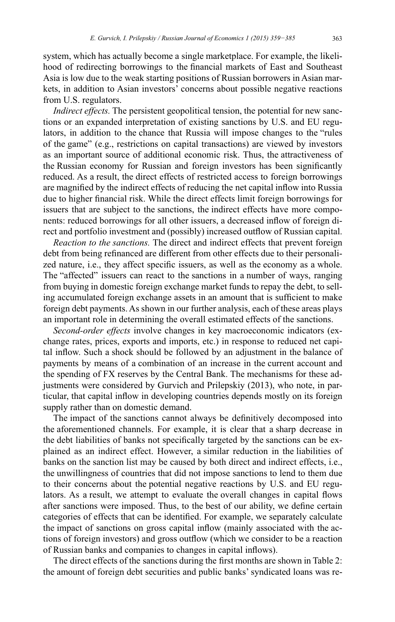system, which has actually become a single marketplace. For example, the likelihood of redirecting borrowings to the financial markets of East and Southeast Asia is low due to the weak starting positions of Russian borrowers in Asian markets, in addition to Asian investors' concerns about possible negative reactions from U.S. regulators.

*Indirect effects*. The persistent geopolitical tension, the potential for new sanctions or an expanded interpretation of existing sanctions by U.S. and EU regulators, in addition to the chance that Russia will impose changes to the "rules of the game" (e.g., restrictions on capital transactions) are viewed by investors as an important source of additional economic risk. Thus, the attractiveness of the Russian economy for Russian and foreign investors has been significantly reduced. As a result, the direct effects of restricted access to foreign borrowings are magnified by the indirect effects of reducing the net capital inflow into Russia due to higher financial risk. While the direct effects limit foreign borrowings for issuers that are subject to the sanctions, the indirect effects have more components: reduced borrowings for all other issuers, a decreased inflow of foreign direct and portfolio investment and (possibly) increased outflow of Russian capital.

Reaction to the sanctions. The direct and indirect effects that prevent foreign debt from being refinanced are different from other effects due to their personalized nature, i.e., they affect specific issuers, as well as the economy as a whole. The "affected" issuers can react to the sanctions in a number of ways, ranging from buying in domestic foreign exchange market funds to repay the debt, to selling accumulated foreign exchange assets in an amount that is sufficient to make foreign debt payments. As shown in our further analysis, each of these areas plays an important role in determining the overall estimated effects of the sanctions.

Second-order effects involve changes in key macroeconomic indicators (exchange rates, prices, exports and imports, etc.) in response to reduced net capital inflow. Such a shock should be followed by an adjustment in the balance of payments by means of a combination of an increase in the current account and the spending of FX reserves by the Central Bank. The mechanisms for these adjustments were considered by Gurvich and Prilepskiy (2013), who note, in particular, that capital inflow in developing countries depends mostly on its foreign supply rather than on domestic demand.

The impact of the sanctions cannot always be definitively decomposed into the aforementioned channels. For example, it is clear that a sharp decrease in the debt liabilities of banks not specifically targeted by the sanctions can be explained as an indirect effect. However, a similar reduction in the liabilities of banks on the sanction list may be caused by both direct and indirect effects, i.e., the unwillingness of countries that did not impose sanctions to lend to them due to their concerns about the potential negative reactions by U.S. and EU regulators. As a result, we attempt to evaluate the overall changes in capital flows after sanctions were imposed. Thus, to the best of our ability, we define certain categories of effects that can be identified. For example, we separately calculate the impact of sanctions on gross capital inflow (mainly associated with the actions of foreign investors) and gross outflow (which we consider to be a reaction of Russian banks and companies to changes in capital inflows).

The direct effects of the sanctions during the first months are shown in Table 2: the amount of foreign debt securities and public banks' syndicated loans was re-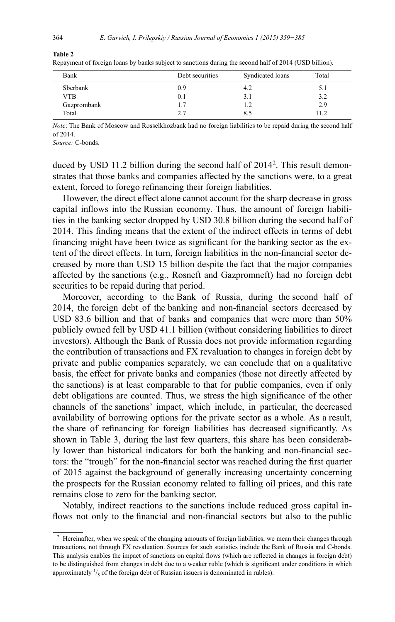| Bank        | Debt securities | Syndicated loans | Total |
|-------------|-----------------|------------------|-------|
| Sberbank    | 0.9             | 4.2              |       |
| VTB         | 0.1             |                  | 3.2   |
| Gazprombank |                 |                  | 2.9   |

#### Repayment of foreign loans by banks subject to sanctions during the second half of 2014 (USD billion).

*Note*: The Bank of Moscow and Rosselkhozbank had no foreign liabilities to be repaid during the second half of 2014.

Total 11.2 2.7 8.5 11.2

*Source:* C-bonds.

duced by USD 11.2 billion during the second half of 2014<sup>2</sup>. This result demonstrates that those banks and companies affected by the sanctions were, to a great extent, forced to forego refinancing their foreign liabilities.

However, the direct effect alone cannot account for the sharp decrease in gross capital inflows into the Russian economy. Thus, the amount of foreign liabilities in the banking sector dropped by USD 30.8 billion during the second half of 2014. This finding means that the extent of the indirect effects in terms of debt financing might have been twice as significant for the banking sector as the extent of the direct effects. In turn, foreign liabilities in the non-financial sector decreased by more than USD 15 billion despite the fact that the major companies affected by the sanctions (e.g., Rosneft and Gazpromneft) had no foreign debt securities to be repaid during that period.

Moreover, according to the Bank of Russia, during the second half of 2014, the foreign debt of the banking and non-financial sectors decreased by USD 83.6 billion and that of banks and companies that were more than 50% publicly owned fell by USD 41.1 billion (without considering liabilities to direct investors). Although the Bank of Russia does not provide information regarding the contribution of transactions and FX revaluation to changes in foreign debt by private and public companies separately, we can conclude that on a qualitative basis, the effect for private banks and companies (those not directly affected by the sanctions) is at least comparable to that for public companies, even if only debt obligations are counted. Thus, we stress the high significance of the other channels of the sanctions' impact, which include, in particular, the decreased availability of borrowing options for the private sector as a whole. As a result, the share of refinancing for foreign liabilities has decreased significantly. As shown in Table 3, during the last few quarters, this share has been considerably lower than historical indicators for both the banking and non-financial sectors: the "trough" for the non-financial sector was reached during the first quarter of 2015 against the background of generally increasing uncertainty concerning the prospects for the Russian economy related to falling oil prices, and this rate remains close to zero for the banking sector.

Notably, indirect reactions to the sanctions include reduced gross capital inflows not only to the financial and non-financial sectors but also to the public

**Table 2**

 $2$  Hereinafter, when we speak of the changing amounts of foreign liabilities, we mean their changes through transactions, not through FX revaluation. Sources for such statistics include the Bank of Russia and C-bonds. This analysis enables the impact of sanctions on capital flows (which are reflected in changes in foreign debt) to be distinguished from changes in debt due to a weaker ruble (which is significant under conditions in which approximately  $\frac{1}{5}$  of the foreign debt of Russian issuers is denominated in rubles).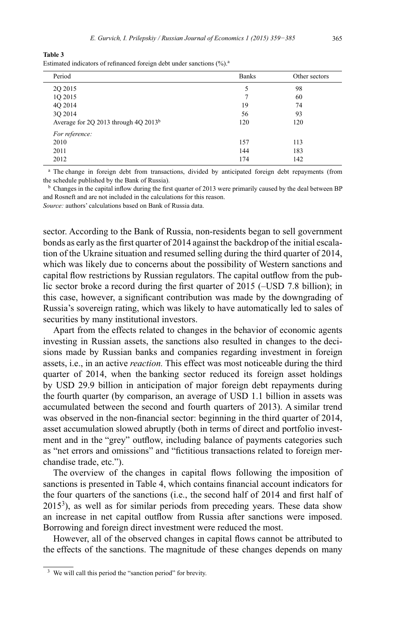Table 3 Estimated indicators of refinanced foreign debt under sanctions (%).<sup>a</sup>

| Period                                             | <b>Banks</b> | Other sectors |
|----------------------------------------------------|--------------|---------------|
| 2Q 2015                                            | 5            | 98            |
| 1Q 2015                                            |              | 60            |
| 4Q 2014                                            | 19           | 74            |
| 3Q 2014                                            | 56           | 93            |
| Average for 2Q 2013 through $4Q$ 2013 <sup>b</sup> | 120          | 120           |
| For reference:                                     |              |               |
| 2010                                               | 157          | 113           |
| 2011                                               | 144          | 183           |
| 2012                                               | 174          | 142           |

<sup>a</sup> The change in foreign debt from transactions, divided by anticipated foreign debt repayments (from the schedule published by the Bank of Russia).

<sup>b</sup> Changes in the capital inflow during the first quarter of 2013 were primarily caused by the deal between BP and Rosneft and are not included in the calculations for this reason.

Source: authors' calculations based on Bank of Russia data.

sector. According to the Bank of Russia, non-residents began to sell government bonds as early as the first quarter of 2014 against the backdrop of the initial escalation of the Ukraine situation and resumed selling during the third quarter of 2014, which was likely due to concerns about the possibility of Western sanctions and capital flow restrictions by Russian regulators. The capital outflow from the public sector broke a record during the first quarter of 2015 (-USD 7.8 billion); in this case, however, a significant contribution was made by the downgrading of Russia's sovereign rating, which was likely to have automatically led to sales of securities by many institutional investors.

Apart from the effects related to changes in the behavior of economic agents investing in Russian assets, the sanctions also resulted in changes to the decisions made by Russian banks and companies regarding investment in foreign assets, i.e., in an active *reaction*. This effect was most noticeable during the third quarter of 2014, when the banking sector reduced its foreign asset holdings by USD 29.9 billion in anticipation of major foreign debt repayments during the fourth quarter (by comparison, an average of USD 1.1 billion in assets was accumulated between the second and fourth quarters of 2013). A similar trend was observed in the non-financial sector: beginning in the third quarter of 2014, asset accumulation slowed abruptly (both in terms of direct and portfolio investment and in the "grey" outflow, including balance of payments categories such as "net errors and omissions" and "fictitious transactions related to foreign merchandise trade, etc.").

The overview of the changes in capital flows following the imposition of sanctions is presented in Table 4, which contains financial account indicators for the four quarters of the sanctions (i.e., the second half of 2014 and first half of  $2015<sup>3</sup>$ ), as well as for similar periods from preceding years. These data show an increase in net capital outflow from Russia after sanctions were imposed. Borrowing and foreign direct investment were reduced the most.

However, all of the observed changes in capital flows cannot be attributed to the effects of the sanctions. The magnitude of these changes depends on many

<sup>&</sup>lt;sup>3</sup> We will call this period the "sanction period" for brevity.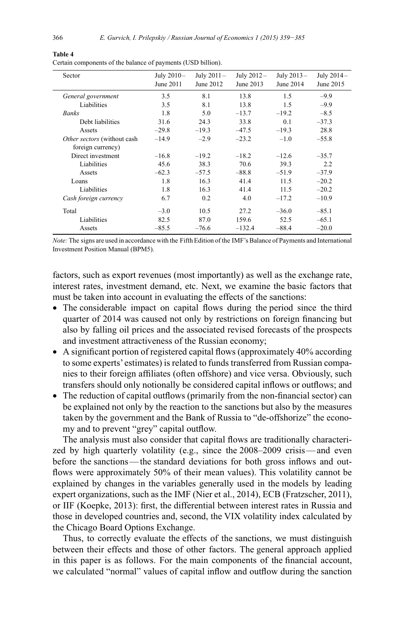| Sector                      | July 2010-<br>June 2011 | July $2011-$<br>June 2012 | July $2012-$<br>June 2013 | July $2013-$<br>June 2014 | July 2014-<br>June 2015 |
|-----------------------------|-------------------------|---------------------------|---------------------------|---------------------------|-------------------------|
| General government          | 3.5                     | 8.1                       | 13.8                      | 1.5                       | $-9.9$                  |
| Liabilities                 | 3.5                     | 8.1                       | 13.8                      | 1.5                       | $-9.9$                  |
| <b>Banks</b>                | 1.8                     | 5.0                       | $-13.7$                   | $-19.2$                   | $-8.5$                  |
| Debt liabilities            | 31.6                    | 24.3                      | 33.8                      | 0.1                       | $-37.3$                 |
| Assets                      | $-29.8$                 | $-19.3$                   | $-47.5$                   | $-19.3$                   | 28.8                    |
| Other sectors (without cash | $-14.9$                 | $-2.9$                    | $-23.2$                   | $-1.0$                    | $-55.8$                 |
| foreign currency)           |                         |                           |                           |                           |                         |
| Direct investment           | $-16.8$                 | $-19.2$                   | $-18.2$                   | $-12.6$                   | $-35.7$                 |
| Liabilities                 | 45.6                    | 38.3                      | 70.6                      | 39.3                      | 2.2                     |
| Assets                      | $-62.3$                 | $-57.5$                   | $-88.8$                   | $-51.9$                   | $-37.9$                 |
| Loans                       | 1.8                     | 16.3                      | 41.4                      | 11.5                      | $-20.2$                 |
| Liabilities                 | 1.8                     | 16.3                      | 41.4                      | 11.5                      | $-20.2$                 |
| Cash foreign currency       | 6.7                     | 0.2                       | 4.0                       | $-17.2$                   | $-10.9$                 |
| Total                       | $-3.0$                  | 10.5                      | 27.2                      | $-36.0$                   | $-85.1$                 |
| Liabilities                 | 82.5                    | 87.0                      | 159.6                     | 52.5                      | $-65.1$                 |
| Assets                      | $-85.5$                 | $-76.6$                   | $-132.4$                  | $-88.4$                   | $-20.0$                 |

#### Certain components of the balance of payments (USD billion).

Note: The signs are used in accordance with the Fifth Edition of the IMF's Balance of Payments and International Investment Position Manual (BPM5).

factors, such as export revenues (most importantly) as well as the exchange rate, interest rates, investment demand, etc. Next, we examine the basic factors that must be taken into account in evaluating the effects of the sanctions:

- The considerable impact on capital flows during the period since the third quarter of 2014 was caused not only by restrictions on foreign financing but also by falling oil prices and the associated revised forecasts of the prospects and investment attractiveness of the Russian economy;
- A significant portion of registered capital flows (approximately 40% according to some experts' estimates) is related to funds transferred from Russian companies to their foreign affiliates (often offshore) and vice versa. Obviously, such transfers should only notionally be considered capital inflows or outflows; and
- The reduction of capital outflows (primarily from the non-financial sector) can be explained not only by the reaction to the sanctions but also by the measures taken by the government and the Bank of Russia to "de-offshorize" the economy and to prevent "grey" capital outflow.

The analysis must also consider that capital flows are traditionally characterized by high quarterly volatility (e.g., since the 2008–2009 crisis—and even before the sanctions—the standard deviations for both gross inflows and outflows were approximately 50% of their mean values). This volatility cannot be explained by changes in the variables generally used in the models by leading expert organizations, such as the IMF (Nier et al., 2014), ECB (Fratzscher, 2011), or IIF (Koepke, 2013): first, the differential between interest rates in Russia and those in developed countries and, second, the VIX volatility index calculated by the Chicago Board Options Exchange.

Thus, to correctly evaluate the effects of the sanctions, we must distinguish between their effects and those of other factors. The general approach applied in this paper is as follows. For the main components of the financial account, we calculated "normal" values of capital inflow and outflow during the sanction

Table 4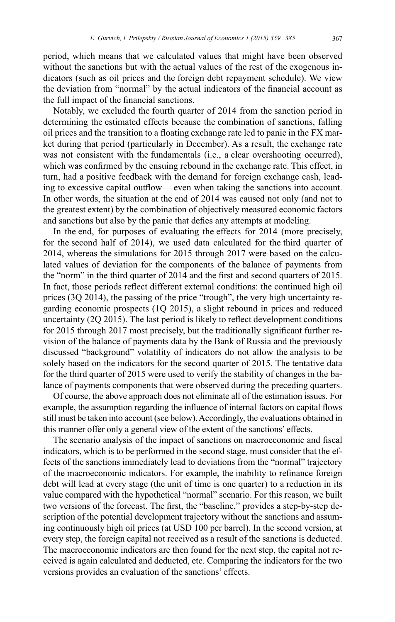period, which means that we calculated values that might have been observed without the sanctions but with the actual values of the rest of the exogenous indicators (such as oil prices and the foreign debt repayment schedule). We view the deviation from "normal" by the actual indicators of the financial account as the full impact of the financial sanctions.

Notably, we excluded the fourth quarter of 2014 from the sanction period in determining the estimated effects because the combination of sanctions, falling oil prices and the transition to a floating exchange rate led to panic in the FX market during that period (particularly in December). As a result, the exchange rate was not consistent with the fundamentals (i.e., a clear overshooting occurred), which was confirmed by the ensuing rebound in the exchange rate. This effect, in turn, had a positive feedback with the demand for foreign exchange cash, leading to excessive capital outflow—even when taking the sanctions into account. In other words, the situation at the end of 2014 was caused not only (and not to the greatest extent) by the combination of objectively measured economic factors and sanctions but also by the panic that defies any attempts at modeling.

In the end, for purposes of evaluating the effects for 2014 (more precisely, for the second half of 2014), we used data calculated for the third quarter of 2014, whereas the simulations for 2015 through 2017 were based on the calculated values of deviation for the components of the balance of payments from the "norm" in the third quarter of 2014 and the first and second quarters of 2015. In fact, those periods reflect different external conditions: the continued high oil prices (3Q 2014), the passing of the price "trough", the very high uncertainty regarding economic prospects (1Q 2015), a slight rebound in prices and reduced uncertainty (2Q 2015). The last period is likely to reflect development conditions for 2015 through 2017 most precisely, but the traditionally significant further revision of the balance of payments data by the Bank of Russia and the previously discussed "background" volatility of indicators do not allow the analysis to be solely based on the indicators for the second quarter of 2015. The tentative data for the third quarter of 2015 were used to verify the stability of changes in the balance of payments components that were observed during the preceding quarters.

Of course, the above approach does not eliminate all of the estimation issues. For example, the assumption regarding the influence of internal factors on capital flows still must be taken into account (see below). Accordingly, the evaluations obtained in this manner offer only a general view of the extent of the sanctions' effects.

The scenario analysis of the impact of sanctions on macroeconomic and fiscal indicators, which is to be performed in the second stage, must consider that the effects of the sanctions immediately lead to deviations from the "normal" trajectory of the macroeconomic indicators. For example, the inability to refinance foreign debt will lead at every stage (the unit of time is one quarter) to a reduction in its value compared with the hypothetical "normal" scenario. For this reason, we built two versions of the forecast. The first, the "baseline," provides a step-by-step description of the potential development trajectory without the sanctions and assuming continuously high oil prices (at USD 100 per barrel). In the second version, at every step, the foreign capital not received as a result of the sanctions is deducted. The macroeconomic indicators are then found for the next step, the capital not received is again calculated and deducted, etc. Comparing the indicators for the two versions provides an evaluation of the sanctions' effects.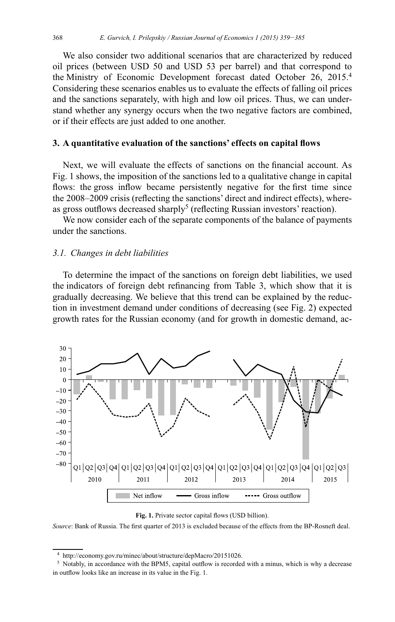We also consider two additional scenarios that are characterized by reduced oil prices (between USD 50 and USD 53 per barrel) and that correspond to the Ministry of Economic Development forecast dated October 26, 2015.<sup>4</sup> Considering these scenarios enables us to evaluate the effects of falling oil prices and the sanctions separately, with high and low oil prices. Thus, we can understand whether any synergy occurs when the two negative factors are combined, or if their effects are just added to one another.

#### 3. A quantitative evaluation of the sanctions' effects on capital flows

Next, we will evaluate the effects of sanctions on the financial account. As Fig. 1 shows, the imposition of the sanctions led to a qualitative change in capital flows: the gross inflow became persistently negative for the first time since the 2008–2009 crisis (reflecting the sanctions' direct and indirect effects), whereas gross outflows decreased sharply<sup>5</sup> (reflecting Russian investors' reaction).

We now consider each of the separate components of the balance of payments under the sanctions.

# 3.1. Changes in debt liabilities

To determine the impact of the sanctions on foreign debt liabilities, we used the indicators of foreign debt refinancing from Table 3, which show that it is gradually decreasing. We believe that this trend can be explained by the reduction in investment demand under conditions of decreasing (see Fig. 2) expected growth rates for the Russian economy (and for growth in domestic demand, ac-



Fig. 1. Private sector capital flows (USD billion).

Source: Bank of Russia. The first quarter of 2013 is excluded because of the effects from the BP-Rosneft deal.

 $4$  http://economy.gov.ru/minec/about/structure/depMacro/20151026.

<sup>&</sup>lt;sup>5</sup> Notably, in accordance with the BPM5, capital outflow is recorded with a minus, which is why a decrease in outflow looks like an increase in its value in the Fig. 1.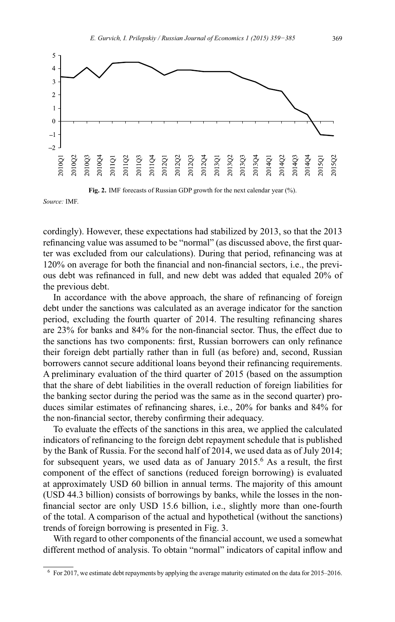



Source: IMF.

cordingly). However, these expectations had stabilized by 2013, so that the 2013 refinancing value was assumed to be "normal" (as discussed above, the first quarter was excluded from our calculations). During that period, refinancing was at 120% on average for both the financial and non-financial sectors, i.e., the previous debt was refinanced in full, and new debt was added that equaled 20% of the previous debt.

In accordance with the above approach, the share of refinancing of foreign debt under the sanctions was calculated as an average indicator for the sanction period, excluding the fourth quarter of 2014. The resulting refinancing shares are 23% for banks and 84% for the non-financial sector. Thus, the effect due to the sanctions has two components: first, Russian borrowers can only refinance their foreign debt partially rather than in full (as before) and, second, Russian borrowers cannot secure additional loans beyond their refinancing requirements. A preliminary evaluation of the third quarter of 2015 (based on the assumption that the share of debt liabilities in the overall reduction of foreign liabilities for the banking sector during the period was the same as in the second quarter) produces similar estimates of refinancing shares, i.e., 20% for banks and 84% for the non-financial sector, thereby confirming their adequacy.

To evaluate the effects of the sanctions in this area, we applied the calculated indicators of refinancing to the foreign debt repayment schedule that is published by the Bank of Russia. For the second half of 2014, we used data as of July 2014; for subsequent years, we used data as of January  $2015<sup>6</sup>$  As a result, the first component of the effect of sanctions (reduced foreign borrowing) is evaluated at approximately USD 60 billion in annual terms. The majority of this amount (USD 44.3 billion) consists of borrowings by banks, while the losses in the nonfinancial sector are only USD 15.6 billion, i.e., slightly more than one-fourth of the total. A comparison of the actual and hypothetical (without the sanctions) trends of foreign borrowing is presented in Fig. 3.

With regard to other components of the financial account, we used a somewhat different method of analysis. To obtain "normal" indicators of capital inflow and

 $6\,$  For 2017, we estimate debt repayments by applying the average maturity estimated on the data for 2015–2016.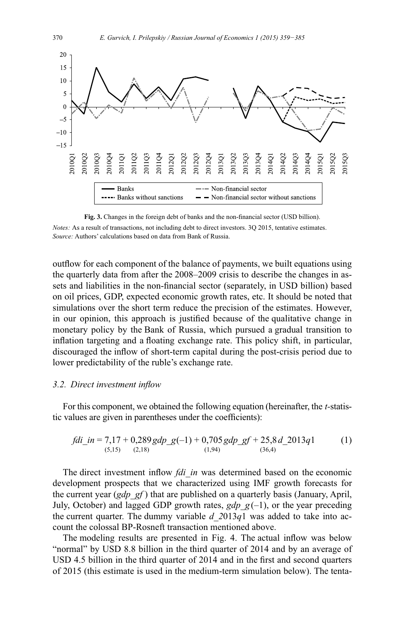

Fig. 3. Changes in the foreign debt of banks and the non-financial sector (USD billion).

Notes: As a result of transactions, not including debt to direct investors. 3Q 2015, tentative estimates. Source: Authors' calculations based on data from Bank of Russia.

outflow for each component of the balance of payments, we built equations using the quarterly data from after the 2008–2009 crisis to describe the changes in assets and liabilities in the non-financial sector (separately, in USD billion) based on oil prices, GDP, expected economic growth rates, etc. It should be noted that simulations over the short term reduce the precision of the estimates. However, in our opinion, this approach is justified because of the qualitative change in monetary policy by the Bank of Russia, which pursued a gradual transition to inflation targeting and a floating exchange rate. This policy shift, in particular, discouraged the inflow of short-term capital during the post-crisis period due to lower predictability of the ruble's exchange rate.

#### 3.2. Direct investment inflow

For this component, we obtained the following equation (hereinafter, the *t*-statistic values are given in parentheses under the coefficients):

$$
fdi_in = 7,17 + 0,289 gdp_g(-1) + 0,705 gdp_g f + 25,8 d_2 013 q1
$$
  
(1)  
(3,15) (2,18) (1,94) (1,94) (36,4) (1)

The direct investment inflow *fdi in* was determined based on the economic development prospects that we characterized using IMF growth forecasts for the current year  $(gdp \text{ gf})$  that are published on a quarterly basis (January, April, July, October) and lagged GDP growth rates,  $gdp_g(-1)$ , or the year preceding the current quarter. The dummy variable  $d$  2013q1 was added to take into account the colossal BP-Rosneft transaction mentioned above.

The modeling results are presented in Fig. 4. The actual inflow was below "normal" by USD 8.8 billion in the third quarter of 2014 and by an average of USD 4.5 billion in the third quarter of 2014 and in the first and second quarters of 2015 (this estimate is used in the medium-term simulation below). The tenta-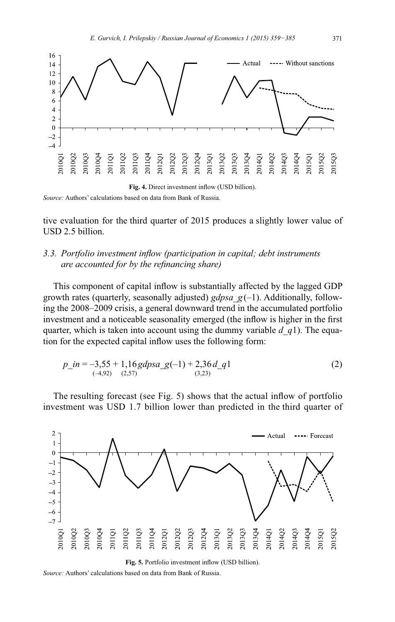

Source: Authors' calculations based on data from Bank of Russia.

tive evaluation for the third quarter of 2015 produces a slightly lower value of USD 2.5 billion.

# 3.3. Portfolio investment inflow (participation in capital; debt instruments are accounted for by the refinancing share)

This component of capital inflow is substantially affected by the lagged GDP growth rates (quarterly, seasonally adjusted) gdpsa  $g(-1)$ . Additionally, following the 2008–2009 crisis, a general downward trend in the accumulated portfolio investment and a noticeable seasonality emerged (the inflow is higher in the first quarter, which is taken into account using the dummy variable  $d \, q1$ ). The equation for the expected capital inflow uses the following form:

$$
p_{in} = -3,55 + 1,16 \text{gdps}a_{g}(-1) + 2,36 d_{g}1
$$
\n
$$
= -3,55 + 1,16 \text{gdps}a_{g}(-1) + 2,36 d_{g}1
$$
\n
$$
= (2)
$$

The resulting forecast (see Fig. 5) shows that the actual inflow of portfolio investment was USD 1.7 billion lower than predicted in the third quarter of





Source: Authors' calculations based on data from Bank of Russia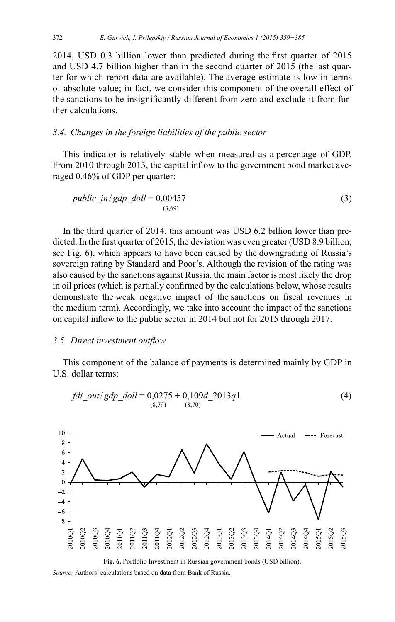2014, USD 0.3 billion lower than predicted during the first quarter of 2015 and USD 4.7 billion higher than in the second quarter of 2015 (the last quarter for which report data are available). The average estimate is low in terms of absolute value; in fact, we consider this component of the overall effect of the sanctions to be insignificantly different from zero and exclude it from further calculations

# 3.4. Changes in the foreign liabilities of the public sector

This indicator is relatively stable when measured as a percentage of GDP. From 2010 through 2013, the capital inflow to the government bond market averaged 0.46% of GDP per quarter:

$$
public_in/gdp_doll = 0,00457
$$
\n
$$
\tag{3}
$$

In the third quarter of 2014, this amount was USD 6.2 billion lower than predicted. In the first quarter of 2015, the deviation was even greater (USD 8.9 billion; see Fig. 6), which appears to have been caused by the downgrading of Russia's sovereign rating by Standard and Poor's. Although the revision of the rating was also caused by the sanctions against Russia, the main factor is most likely the drop in oil prices (which is partially confirmed by the calculations below, whose results demonstrate the weak negative impact of the sanctions on fiscal revenues in the medium term). Accordingly, we take into account the impact of the sanctions on capital inflow to the public sector in 2014 but not for 2015 through 2017.

#### 3.5. Direct investment outflow

This component of the balance of payments is determined mainly by GDP in U.S. dollar terms:

 $(4)$ 





Source: Authors' calculations based on data from Bank of Russia.

 $fdi_out/gdp_doll = 0,0275 + 0,109d_2013q1$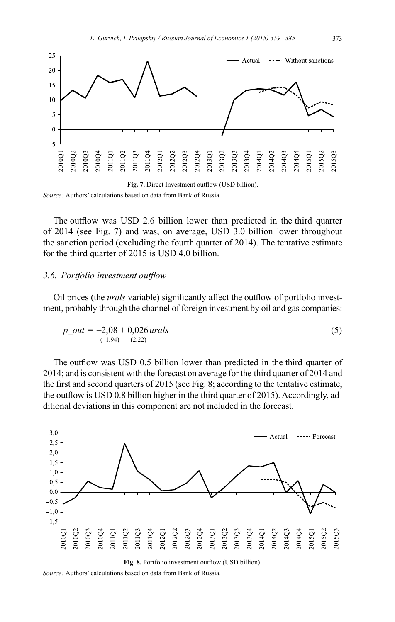

Source: Authors' calculations based on data from Bank of Russia.

The outflow was USD 2.6 billion lower than predicted in the third quarter of 2014 (see Fig. 7) and was, on average, USD 3.0 billion lower throughout the sanction period (excluding the fourth quarter of 2014). The tentative estimate for the third quarter of 2015 is USD 4.0 billion.

#### 3.6. Portfolio investment outflow

Oil prices (the *urals* variable) significantly affect the outflow of portfolio investment, probably through the channel of foreign investment by oil and gas companies:

$$
p\_out = -2,08 + 0,026 \text{ urals}
$$
\n
$$
(-1,94) \quad (2,22)
$$
\n(5)

The outflow was USD 0.5 billion lower than predicted in the third quarter of 2014; and is consistent with the forecast on average for the third quarter of 2014 and the first and second quarters of 2015 (see Fig. 8; according to the tentative estimate, the outflow is USD 0.8 billion higher in the third quarter of 2015). Accordingly, additional deviations in this component are not included in the forecast.





Source: Authors' calculations based on data from Bank of Russia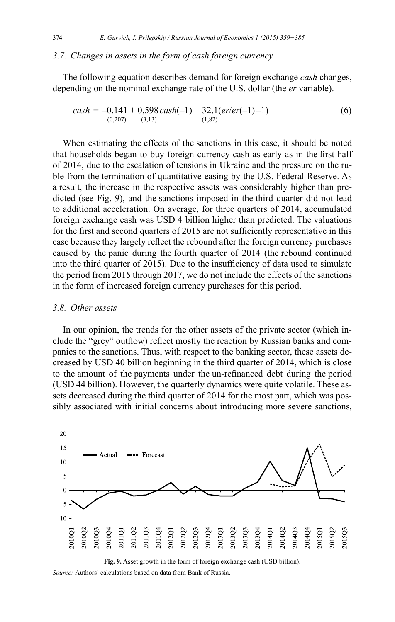## *3.7. Changes in assets in the form of cash foreign currency*

The following equation describes demand for foreign exchange *cash* changes, depending on the nominal exchange rate of the U.S. dollar (the *er* variable).

$$
cash = -0.141 + 0.598 \, cash(-1) + 32.1(er/er(-1) - 1)
$$
\n(6)  
\n(0.207) (3.13) (1.82)

When estimating the effects of the sanctions in this case, it should be noted that households began to buy foreign currency cash as early as in the first half of 2014, due to the escalation of tensions in Ukraine and the pressure on the ruble from the termination of quantitative easing by the U.S. Federal Reserve. As a result, the increase in the respective assets was considerably higher than predicted (see Fig. 9), and the sanctions imposed in the third quarter did not lead to additional acceleration. On average, for three quarters of 2014, accumulated foreign exchange cash was USD 4 billion higher than predicted. The valuations for the first and second quarters of 2015 are not sufficiently representative in this case because they largely reflect the rebound after the foreign currency purchases caused by the panic during the fourth quarter of 2014 (the rebound continued into the third quarter of 2015). Due to the insufficiency of data used to simulate the period from 2015 through 2017, we do not include the effects of the sanctions in the form of increased foreign currency purchases for this period.

## *28 Other assets*

In our opinion, the trends for the other assets of the private sector (which include the "grey" outflow) reflect mostly the reaction by Russian banks and companies to the sanctions. Thus, with respect to the banking sector, these assets decreased by USD 40 billion beginning in the third quarter of 2014, which is close to the amount of the payments under the un-refinanced debt during the period (USD 44 billion). However, the quarterly dynamics were quite volatile. These assets decreased during the third quarter of 2014 for the most part, which was possibly associated with initial concerns about introducing more severe sanctions,



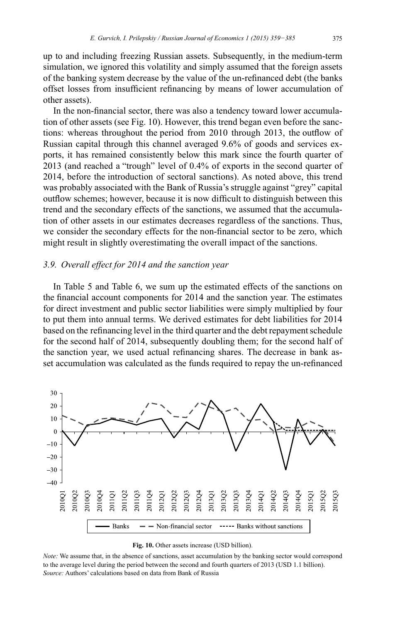up to and including freezing Russian assets. Subsequently, in the medium-term simulation, we ignored this volatility and simply assumed that the foreign assets of the banking system decrease by the value of the un-refinanced debt (the banks offset losses from insufficient refinancing by means of lower accumulation of other assets).

In the non-financial sector, there was also a tendency toward lower accumulation of other assets (see Fig. 10). However, this trend began even before the sanctions: whereas throughout the period from 2010 through 2013, the outflow of Russian capital through this channel averaged 9.6% of goods and services exports, it has remained consistently below this mark since the fourth quarter of 2013 (and reached a "trough" level of 0.4% of exports in the second quarter of 2014, before the introduction of sectoral sanctions). As noted above, this trend was probably associated with the Bank of Russia's struggle against "grey" capital outflow schemes; however, because it is now difficult to distinguish between this trend and the secondary effects of the sanctions, we assumed that the accumulation of other assets in our estimates decreases regardless of the sanctions. Thus, we consider the secondary effects for the non-financial sector to be zero, which might result in slightly overestimating the overall impact of the sanctions.

# 3.9. Overall effect for 2014 and the sanction year

In Table 5 and Table 6, we sum up the estimated effects of the sanctions on the financial account components for 2014 and the sanction year. The estimates for direct investment and public sector liabilities were simply multiplied by four to put them into annual terms. We derived estimates for debt liabilities for 2014 based on the refinancing level in the third quarter and the debt repayment schedule for the second half of 2014, subsequently doubling them; for the second half of the sanction year, we used actual refinancing shares. The decrease in bank asset accumulation was calculated as the funds required to repay the un-refinanced





Note: We assume that, in the absence of sanctions, asset accumulation by the banking sector would correspond to the average level during the period between the second and fourth quarters of 2013 (USD 1.1 billion). Source: Authors' calculations based on data from Bank of Russia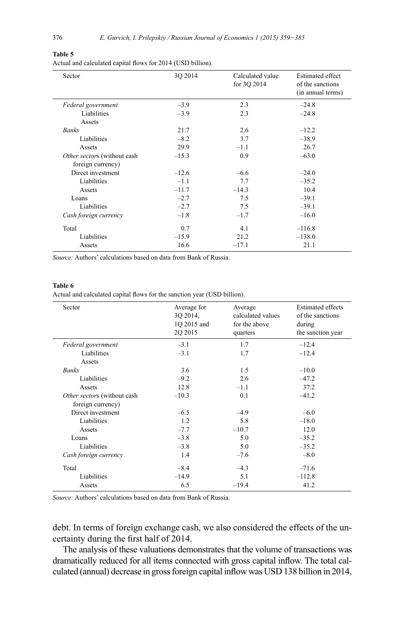| í | $\prime$ | n |  |  |  |
|---|----------|---|--|--|--|
|   |          |   |  |  |  |

| <b>Table 5</b>                                              |  |
|-------------------------------------------------------------|--|
| Actual and calculated capital flows for 2014 (USD billion). |  |
|                                                             |  |

| Sector                      | 30 2014 | Calculated value<br>for 3Q 2014 | <b>Estimated effect</b><br>of the sanctions<br>(in annual terms) |
|-----------------------------|---------|---------------------------------|------------------------------------------------------------------|
| Federal government          | $-3.9$  | 2.3                             | $-24.8$                                                          |
| Liabilities                 | $-3.9$  | 2.3                             | $-24.8$                                                          |
| Assets                      |         |                                 |                                                                  |
| <b>Banks</b>                | 21.7    | 2.6                             | $-12.2$                                                          |
| Liabilities                 | $-8.2$  | 3.7                             | $-38.9$                                                          |
| Assets                      | 29.9    | $-1.1$                          | 26.7                                                             |
| Other sectors (without cash | $-15.3$ | 0.9                             | $-63.0$                                                          |
| foreign currency)           |         |                                 |                                                                  |
| Direct investment           | $-12.6$ | $-6.6$                          | $-24.0$                                                          |
| Liabilities                 | $-1.1$  | 7.7                             | $-35.2$                                                          |
| Assets                      | $-11.7$ | $-14.3$                         | 10.4                                                             |
| Loans                       | $-2.7$  | 7.5                             | $-39.1$                                                          |
| Liabilities                 | $-2.7$  | 7.5                             | $-39.1$                                                          |
| Cash foreign currency       | $-1.8$  | $-1.7$                          | $-16.0$                                                          |
| Total                       | 0.7     | 4.1                             | $-116.8$                                                         |
| Liabilities                 | $-15.9$ | 21.2                            | $-138.0$                                                         |
| Assets                      | 16.6    | $-17.1$                         | 21.1                                                             |

*Source:* Authors' calculations based on data from Bank of Russia.

#### **Table 6**

Actual and calculated capital flows for the sanction year (USD billion).

| Sector                      | Average for<br>3Q 2014,<br>1O 2015 and<br>2Q 2015 | Average<br>calculated values<br>for the above<br>quarters | <b>Estimated effects</b><br>of the sanctions<br>during<br>the sanction year |
|-----------------------------|---------------------------------------------------|-----------------------------------------------------------|-----------------------------------------------------------------------------|
| Federal government          | $-3.1$                                            | 1.7                                                       | $-12.4$                                                                     |
| Liabilities                 | $-3.1$                                            | 1.7                                                       | $-12.4$                                                                     |
| Assets                      |                                                   |                                                           |                                                                             |
| <b>Banks</b>                | 3.6                                               | 1.5                                                       | $-10.0$                                                                     |
| Liabilities                 | $-9.2$                                            | 2.6                                                       | $-47.2$                                                                     |
| Assets                      | 12.8                                              | $-1.1$                                                    | 37.2                                                                        |
| Other sectors (without cash | $-10.3$                                           | 0.1                                                       | $-41.2$                                                                     |
| foreign currency)           |                                                   |                                                           |                                                                             |
| Direct investment           | $-6.5$                                            | $-4.9$                                                    | $-6.0$                                                                      |
| Liabilities                 | 1.2                                               | 5.8                                                       | $-18.0$                                                                     |
| Assets                      | $-7.7$                                            | $-10.7$                                                   | 12.0                                                                        |
| Loans                       | $-3.8$                                            | 5.0                                                       | $-35.2$                                                                     |
| Liabilities                 | $-3.8$                                            | 5.0                                                       | $-35.2$                                                                     |
| Cash foreign currency       | 1.4                                               | $-7.6$                                                    | $-8.0$                                                                      |
| Total                       | $-8.4$                                            | $-4.3$                                                    | $-71.6$                                                                     |
| Liabilities                 | $-14.9$                                           | 5.1                                                       | $-112.8$                                                                    |
| Assets                      | 6.5                                               | $-19.4$                                                   | 41.2                                                                        |

*Source:* Authors' calculations based on data from Bank of Russia.

debt. In terms of foreign exchange cash, we also considered the effects of the uncertainty during the first half of 2014.

The analysis of these valuations demonstrates that the volume of transactions was dramatically reduced for all items connected with gross capital inflow. The total calculated (annual) decrease in gross foreign capital inflow was USD 138 billion in 2014,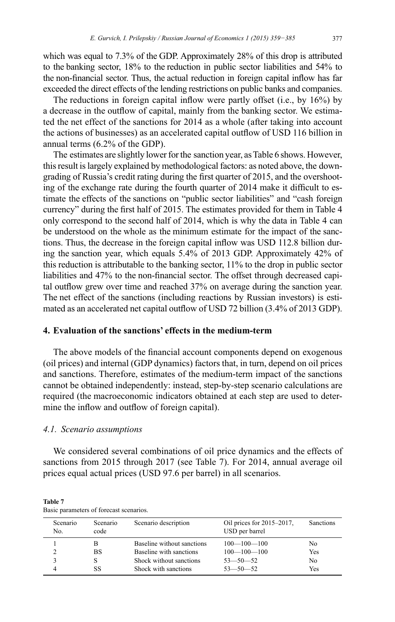which was equal to 7.3% of the GDP. Approximately 28% of this drop is attributed to the banking sector, 18% to the reduction in public sector liabilities and 54% to the non-financial sector. Thus, the actual reduction in foreign capital inflow has far exceeded the direct effects of the lending restrictions on public banks and companies.

The reductions in foreign capital inflow were partly offset (i.e., by  $16\%$ ) by a decrease in the outflow of capital, mainly from the banking sector. We estimated the net effect of the sanctions for 2014 as a whole (after taking into account the actions of businesses) as an accelerated capital outflow of USD 116 billion in annual terms  $(6.2\% \text{ of the GDP})$ .

The estimates are slightly lower for the sanction year, as Table 6 shows. However, this result is largely explained by methodological factors: as noted above, the downgrading of Russia's credit rating during the first quarter of 2015, and the overshooting of the exchange rate during the fourth quarter of 2014 make it difficult to estimate the effects of the sanctions on "public sector liabilities" and "cash foreign currency" during the first half of 2015. The estimates provided for them in Table 4 only correspond to the second half of 2014, which is why the data in Table 4 can be understood on the whole as the minimum estimate for the impact of the sanctions. Thus, the decrease in the foreign capital inflow was USD 112.8 billion during the sanction year, which equals 5.4% of 2013 GDP. Approximately 42% of this reduction is attributable to the banking sector, 11% to the drop in public sector liabilities and 47% to the non-financial sector. The offset through decreased capital outflow grew over time and reached 37% on average during the sanction year. The net effect of the sanctions (including reactions by Russian investors) is estimated as an accelerated net capital outflow of USD 72 billion (3.4% of 2013 GDP).

# 4. Evaluation of the sanctions' effects in the medium-term

The above models of the financial account components depend on exogenous (oil prices) and internal (GDP dynamics) factors that, in turn, depend on oil prices and sanctions. Therefore, estimates of the medium-term impact of the sanctions cannot be obtained independently: instead, step-by-step scenario calculations are required (the macroeconomic indicators obtained at each step are used to determine the inflow and outflow of foreign capital).

## 4.1. Scenario assumptions

We considered several combinations of oil price dynamics and the effects of sanctions from 2015 through 2017 (see Table 7). For 2014, annual average oil prices equal actual prices (USD 97.6 per barrel) in all scenarios.

| Scenario<br>No. | Scenario<br>code | Scenario description       | Oil prices for 2015–2017,<br>USD per barrel | <b>Sanctions</b> |
|-----------------|------------------|----------------------------|---------------------------------------------|------------------|
|                 |                  | Baseline without sanctions | $100 - 100 - 100$                           | No               |
|                 | BS               | Baseline with sanctions    | $100 - 100 - 100$                           | Yes              |
|                 |                  | Shock without sanctions    | $53 - 50 - 52$                              | No               |
|                 | SS               | Shock with sanctions       | $53 - 50 - 52$                              | Yes              |

Table 7 Basic parameters of forecast scenarios.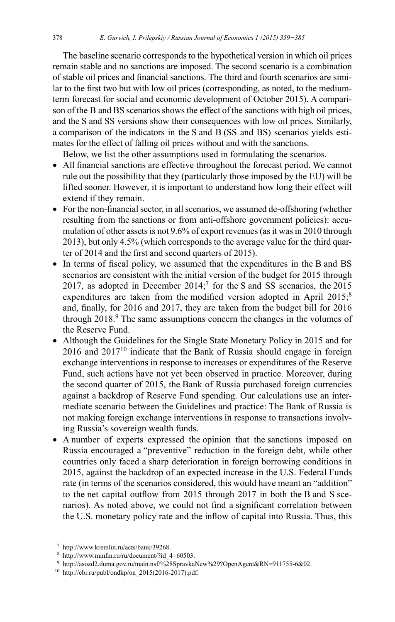The baseline scenario corresponds to the hypothetical version in which oil prices remain stable and no sanctions are imposed. The second scenario is a combination of stable oil prices and financial sanctions. The third and fourth scenarios are similar to the first two but with low oil prices (corresponding, as noted, to the mediumterm forecast for social and economic development of October 2015). A comparison of the B and BS scenarios shows the effect of the sanctions with high oil prices, and the S and SS versions show their consequences with low oil prices. Similarly, a comparison of the indicators in the S and B (SS and BS) scenarios yields estimates for the effect of falling oil prices without and with the sanctions.

Below, we list the other assumptions used in formulating the scenarios.

- All financial sanctions are effective throughout the forecast period. We cannot rule out the possibility that they (particularly those imposed by the EU) will be lifted sooner. However, it is important to understand how long their effect will extend if they remain.
- For the non-financial sector, in all scenarios, we assumed de-offshoring (whether resulting from the sanctions or from anti-offshore government policies): accumulation of other assets is not 9.6% of export revenues (as it was in 2010 through 2013), but only 4.5% (which corresponds to the average value for the third quarter of 2014 and the first and second quarters of 2015).
- In terms of fiscal policy, we assumed that the expenditures in the B and BS scenarios are consistent with the initial version of the budget for 2015 through 2017, as adopted in December 2014;<sup>7</sup> for the S and SS scenarios, the  $2015$ expenditures are taken from the modified version adopted in April  $2015$ ;<sup>8</sup> and, finally, for 2016 and 2017, they are taken from the budget bill for 2016 through 2018.<sup>9</sup> The same assumptions concern the changes in the volumes of the Reserve Fund.
- Although the Guidelines for the Single State Monetary Policy in 2015 and for  $2016$  and  $2017^{10}$  indicate that the Bank of Russia should engage in foreign exchange interventions in response to increases or expenditures of the Reserve Fund, such actions have not yet been observed in practice. Moreover, during the second quarter of 2015, the Bank of Russia purchased foreign currencies against a backdrop of Reserve Fund spending. Our calculations use an intermediate scenario between the Guidelines and practice: The Bank of Russia is not making foreign exchange interventions in response to transactions involving Russia's sovereign wealth funds.
- A number of experts expressed the opinion that the sanctions imposed on Russia encouraged a "preventive" reduction in the foreign debt, while other countries only faced a sharp deterioration in foreign borrowing conditions in 2015, against the backdrop of an expected increase in the U.S. Federal Funds rate (in terms of the scenarios considered, this would have meant an "addition" to the net capital outflow from 2015 through 2017 in both the B and S scenarios). As noted above, we could not find a significant correlation between the U.S. monetary policy rate and the inflow of capital into Russia. Thus, this

 $7$  http://www.kremlin.ru/acts/bank/39268.

 $8$  http://www.minfin.ru/ru/document/?id 4=60503.

<sup>&</sup>lt;sup>9</sup> http://asozd2.duma.gov.ru/main.nsf/%28SpravkaNew%29?OpenAgent&RN=911755-6&02.

 $^{10}$  http://cbr.ru/publ/ondkp/on 2015(2016-2017).pdf.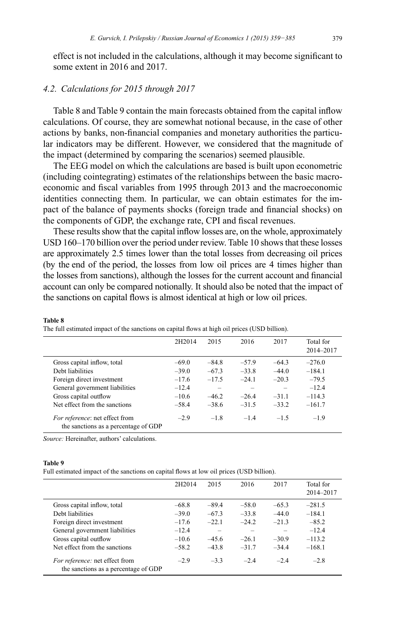effect is not included in the calculations, although it may become significant to some extent in 2016 and 2017.

### 4.2. Calculations for 2015 through 2017

Table 8 and Table 9 contain the main forecasts obtained from the capital inflow calculations. Of course, they are somewhat notional because, in the case of other actions by banks, non-financial companies and monetary authorities the particular indicators may be different. However, we considered that the magnitude of the impact (determined by comparing the scenarios) seemed plausible.

The EEG model on which the calculations are based is built upon econometric (including cointegrating) estimates of the relationships between the basic macroeconomic and fiscal variables from 1995 through 2013 and the macroeconomic identities connecting them. In particular, we can obtain estimates for the impact of the balance of payments shocks (foreign trade and financial shocks) on the components of GDP, the exchange rate, CPI and fiscal revenues.

These results show that the capital inflow losses are, on the whole, approximately USD 160–170 billion over the period under review. Table 10 shows that these losses are approximately 2.5 times lower than the total losses from decreasing oil prices (by the end of the period, the losses from low oil prices are 4 times higher than the losses from sanctions), although the losses for the current account and financial account can only be compared notionally. It should also be noted that the impact of the sanctions on capital flows is almost identical at high or low oil prices.

|                                                                                      | 2H2014                        | 2015               | 2016                         | 2017               | Total for<br>2014-2017          |
|--------------------------------------------------------------------------------------|-------------------------------|--------------------|------------------------------|--------------------|---------------------------------|
| Gross capital inflow, total<br>Debt liabilities                                      | $-69.0$<br>$-39.0$            | $-84.8$<br>$-67.3$ | $-57.9$<br>$-33.8$<br>$-241$ | $-64.3$<br>$-44.0$ | $-276.0$<br>$-184.1$<br>$-79.5$ |
| Foreign direct investment<br>General government liabilities<br>Gross capital outflow | $-17.6$<br>$-12.4$<br>$-10.6$ | $-17.5$<br>$-46.2$ | $-264$                       | $-20.3$<br>$-311$  | $-12.4$<br>$-114.3$             |
| Net effect from the sanctions                                                        | $-58.4$                       | $-38.6$            | $-31.5$                      | $-33.2$            | $-161.7$                        |
| For reference: net effect from<br>the sanctions as a percentage of GDP               | $-2.9$                        | $-1.8$             | $-14$                        | $-1.5$             | $-1.9$                          |

Table 8

The full estimated impact of the sanctions on capital flows at high oil prices (USD billion).

Source: Hereinafter, authors' calculations.

#### Table 0

Full estimated impact of the sanctions on capital flows at low oil prices (USD billion).

|                                                                        | 2H2014  | 2015    | 2016    | 2017    | Total for<br>2014-2017 |
|------------------------------------------------------------------------|---------|---------|---------|---------|------------------------|
| Gross capital inflow, total                                            | $-68.8$ | $-89.4$ | $-58.0$ | $-65.3$ | $-281.5$               |
| Debt liabilities                                                       | $-39.0$ | $-67.3$ | $-33.8$ | $-44.0$ | $-184.1$               |
| Foreign direct investment                                              | $-17.6$ | $-22.1$ | $-242$  | $-21.3$ | $-85.2$                |
| General government liabilities                                         | $-12.4$ |         |         |         | $-12.4$                |
| Gross capital outflow                                                  | $-10.6$ | $-45.6$ | $-26.1$ | $-30.9$ | $-113.2$               |
| Net effect from the sanctions                                          | $-58.2$ | $-43.8$ | $-31.7$ | $-34.4$ | $-168.1$               |
| For reference: net effect from<br>the sanctions as a percentage of GDP | $-2.9$  | $-33$   | $-2.4$  | $-2.4$  | $-2.8$                 |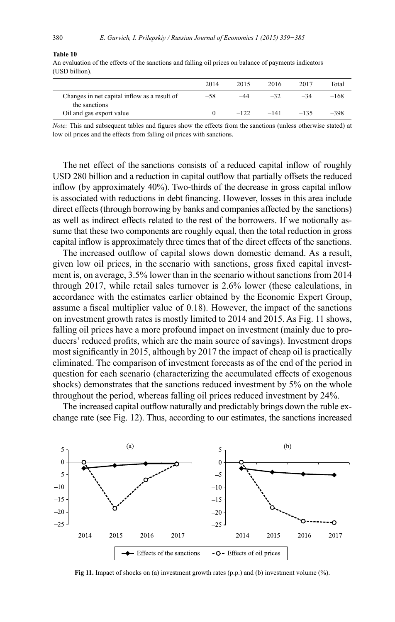## Table 10

|                                                               | 2014  | 2015   | 2016   | 2017   | Total  |
|---------------------------------------------------------------|-------|--------|--------|--------|--------|
| Changes in net capital inflow as a result of<br>the sanctions | $-58$ | -44    | $-32$  | $-34$  | $-168$ |
| Oil and gas export value                                      |       | $-122$ | $-141$ | $-135$ | $-398$ |

An evaluation of the effects of the sanctions and falling oil prices on balance of payments indicators (USD billion).

Note: This and subsequent tables and figures show the effects from the sanctions (unless otherwise stated) at low oil prices and the effects from falling oil prices with sanctions.

The net effect of the sanctions consists of a reduced capital inflow of roughly USD 280 billion and a reduction in capital outflow that partially offsets the reduced inflow (by approximately 40%). Two-thirds of the decrease in gross capital inflow is associated with reductions in debt financing. However, losses in this area include direct effects (through borrowing by banks and companies affected by the sanctions) as well as indirect effects related to the rest of the borrowers. If we notionally assume that these two components are roughly equal, then the total reduction in gross capital inflow is approximately three times that of the direct effects of the sanctions.

The increased outflow of capital slows down domestic demand. As a result, given low oil prices, in the scenario with sanctions, gross fixed capital investment is, on average, 3.5% lower than in the scenario without sanctions from 2014 through 2017, while retail sales turnover is 2.6% lower (these calculations, in accordance with the estimates earlier obtained by the Economic Expert Group, assume a fiscal multiplier value of 0.18). However, the impact of the sanctions on investment growth rates is mostly limited to 2014 and 2015. As Fig. 11 shows, falling oil prices have a more profound impact on investment (mainly due to producers' reduced profits, which are the main source of savings). Investment drops most significantly in 2015, although by 2017 the impact of cheap oil is practically eliminated. The comparison of investment forecasts as of the end of the period in question for each scenario (characterizing the accumulated effects of exogenous shocks) demonstrates that the sanctions reduced investment by 5% on the whole throughout the period, whereas falling oil prices reduced investment by 24%.

The increased capital outflow naturally and predictably brings down the ruble exchange rate (see Fig. 12). Thus, according to our estimates, the sanctions increased



Fig 11. Impact of shocks on (a) investment growth rates (p.p.) and (b) investment volume  $(\%)$ .

380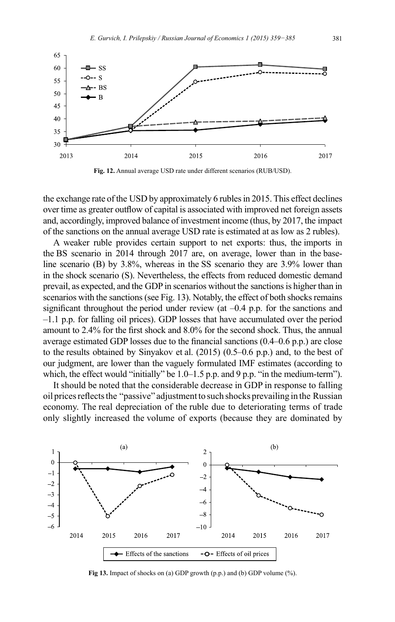

Fig. 12. Annual average USD rate under different scenarios (RUB/USD).

the exchange rate of the USD by approximately 6 rubles in 2015. This effect declines over time as greater outflow of capital is associated with improved net foreign assets and, accordingly, improved balance of investment income (thus, by 2017, the impact of the sanctions on the annual average USD rate is estimated at as low as 2 rubles).

A weaker ruble provides certain support to net exports: thus, the imports in the BS scenario in 2014 through 2017 are, on average, lower than in the baseline scenario (B) by  $3.8\%$ , whereas in the SS scenario they are  $3.9\%$  lower than in the shock scenario (S). Nevertheless, the effects from reduced domestic demand prevail, as expected, and the GDP in scenarios without the sanctions is higher than in scenarios with the sanctions (see Fig. 13). Notably, the effect of both shocks remains significant throughout the period under review (at  $-0.4$  p.p. for the sanctions and  $-1.1$  p.p. for falling oil prices). GDP losses that have accumulated over the period amount to 2.4% for the first shock and 8.0% for the second shock. Thus, the annual average estimated GDP losses due to the financial sanctions  $(0.4-0.6 \text{ p.p.})$  are close to the results obtained by Sinyakov et al. (2015) (0.5–0.6 p.p.) and, to the best of our judgment, are lower than the vaguely formulated IMF estimates (according to which, the effect would "initially" be 1.0–1.5 p.p. and 9 p.p. "in the medium-term").

It should be noted that the considerable decrease in GDP in response to falling oil prices reflects the "passive" adjustment to such shocks prevailing in the Russian economy. The real depreciation of the ruble due to deteriorating terms of trade only slightly increased the volume of exports (because they are dominated by



Fig 13. Impact of shocks on (a) GDP growth (p.p.) and (b) GDP volume  $(\%).$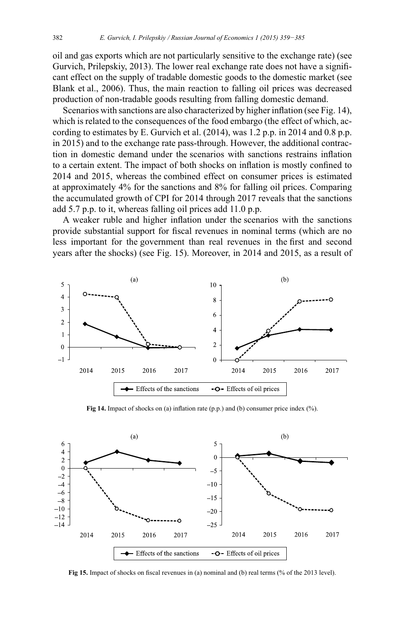oil and gas exports which are not particularly sensitive to the exchange rate) (see Gurvich, Prilepskiy, 2013). The lower real exchange rate does not have a significant effect on the supply of tradable domestic goods to the domestic market (see Blank et al., 2006). Thus, the main reaction to falling oil prices was decreased production of non-tradable goods resulting from falling domestic demand.

Scenarios with sanctions are also characterized by higher inflation (see Fig. 14), which is related to the consequences of the food embargo (the effect of which, according to estimates by E. Gurvich et al. (2014), was 1.2 p.p. in 2014 and 0.8 p.p. in 2015) and to the exchange rate pass-through. However, the additional contraction in domestic demand under the scenarios with sanctions restrains inflation to a certain extent. The impact of both shocks on inflation is mostly confined to 2014 and 2015, whereas the combined effect on consumer prices is estimated at approximately 4% for the sanctions and 8% for falling oil prices. Comparing the accumulated growth of CPI for 2014 through 2017 reveals that the sanctions add 5.7 p.p. to it, whereas falling oil prices add 11.0 p.p.

A weaker ruble and higher inflation under the scenarios with the sanctions provide substantial support for fiscal revenues in nominal terms (which are no less important for the government than real revenues in the first and second years after the shocks) (see Fig. 15). Moreover, in 2014 and 2015, as a result of



Fig 14. Impact of shocks on (a) inflation rate (p.p.) and (b) consumer price index (%).



Fig 15. Impact of shocks on fiscal revenues in (a) nominal and (b) real terms (% of the 2013 level).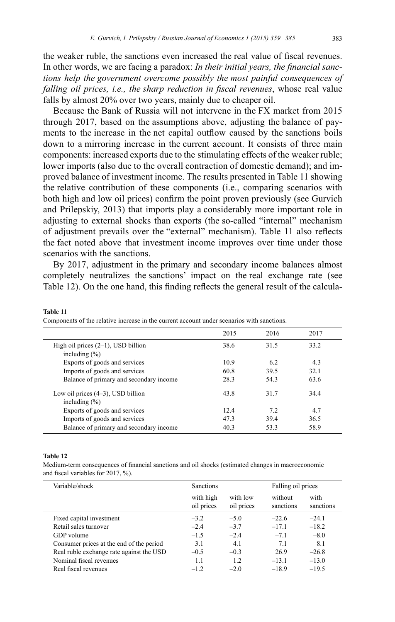the weaker ruble, the sanctions even increased the real value of fiscal revenues. In other words, we are facing a paradox: *In their initial years, the financial sanctions help the government overcome possibly the most painful consequences of falling oil prices, i.e., the sharp reduction in fiscal revenues, whose real value* falls by almost 20% over two years, mainly due to cheaper oil.

Because the Bank of Russia will not intervene in the FX market from 2015 through 2017, based on the assumptions above, adjusting the balance of payments to the increase in the net capital outflow caused by the sanctions boils down to a mirroring increase in the current account. It consists of three main components: increased exports due to the stimulating effects of the weaker ruble; lower imports (also due to the overall contraction of domestic demand); and improved balance of investment income. The results presented in Table 11 showing the relative contribution of these components (i.e., comparing scenarios with both high and low oil prices) confirm the point proven previously (see Gurvich and Prilepskiy, 2013) that imports play a considerably more important role in adjusting to external shocks than exports (the so-called "internal" mechanism of adjustment prevails over the "external" mechanism). Table 11 also reflects the fact noted above that investment income improves over time under those scenarios with the sanctions.

By 2017, adjustment in the primary and secondary income balances almost completely neutralizes the sanctions' impact on the real exchange rate (see Table 12). On the one hand, this finding reflects the general result of the calcula-

| Components of the relative increase in the current account under scenarios with sanctions. |      |      |  |  |  |  |  |  |
|--------------------------------------------------------------------------------------------|------|------|--|--|--|--|--|--|
| 2015                                                                                       | 2016 | 2017 |  |  |  |  |  |  |
| 38.6                                                                                       | 31.5 | 33.2 |  |  |  |  |  |  |
| 10.9                                                                                       | 6.2  | 4.3  |  |  |  |  |  |  |
| 60.8                                                                                       | 39.5 | 32.1 |  |  |  |  |  |  |
| 28.3                                                                                       | 54.3 | 63.6 |  |  |  |  |  |  |
| 43.8                                                                                       | 31.7 | 34.4 |  |  |  |  |  |  |
| 12.4                                                                                       | 7.2  | 4.7  |  |  |  |  |  |  |
| 47.3                                                                                       | 39.4 | 36.5 |  |  |  |  |  |  |
| 40.3                                                                                       | 53.3 | 58.9 |  |  |  |  |  |  |
|                                                                                            |      |      |  |  |  |  |  |  |

#### **Table 11**

Components of the relative increase in the current account under scenarios with sanctions.

#### **Table 12**

Medium-term consequences of financial sanctions and oil shocks (estimated changes in macroeconomic and fiscal variables for  $2017.$  %).

| Variable/shock                           | <b>Sanctions</b>        |                        | Falling oil prices   |                   |  |
|------------------------------------------|-------------------------|------------------------|----------------------|-------------------|--|
|                                          | with high<br>oil prices | with low<br>oil prices | without<br>sanctions | with<br>sanctions |  |
| Fixed capital investment                 | $-3.2$                  | $-5.0$                 | $-22.6$              | $-24.1$           |  |
| Retail sales turnover                    | $-2.4$                  | $-3.7$                 | $-17.1$              | $-18.2$           |  |
| GDP volume                               | $-1.5$                  | $-2.4$                 | $-7.1$               | $-8.0$            |  |
| Consumer prices at the end of the period | 3.1                     | 4.1                    | 7.1                  | 8.1               |  |
| Real ruble exchange rate against the USD | $-0.5$                  | $-0.3$                 | 26.9                 | $-26.8$           |  |
| Nominal fiscal revenues                  | 1.1                     | 1.2                    | $-13.1$              | $-13.0$           |  |
| Real fiscal revenues                     | $-1.2$                  | $-2.0$                 | $-18.9$              | $-19.5$           |  |
|                                          |                         |                        |                      |                   |  |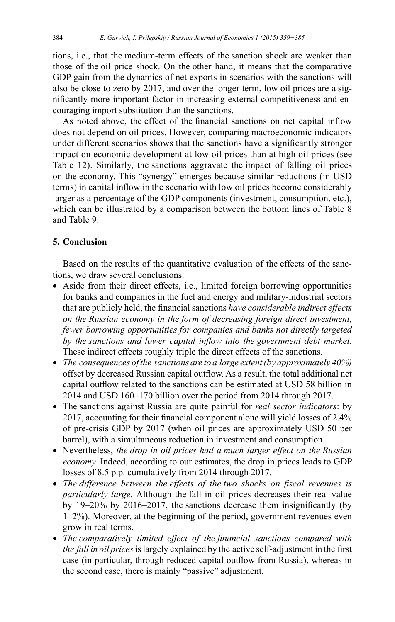tions, i.e., that the medium-term effects of the sanction shock are weaker than those of the oil price shock. On the other hand, it means that the comparative GDP gain from the dynamics of net exports in scenarios with the sanctions will also be close to zero by 2017, and over the longer term, low oil prices are a significantly more important factor in increasing external competitiveness and encouraging import substitution than the sanctions.

As noted above, the effect of the financial sanctions on net capital inflow does not depend on oil prices. However, comparing macroeconomic indicators under different scenarios shows that the sanctions have a significantly stronger impact on economic development at low oil prices than at high oil prices (see Table 12). Similarly, the sanctions aggravate the impact of falling oil prices on the economy. This "synergy" emerges because similar reductions (in USD terms) in capital inflow in the scenario with low oil prices become considerably larger as a percentage of the GDP components (investment, consumption, etc.), which can be illustrated by a comparison between the bottom lines of Table 8 and Table 9.

# **5. Conclusion**

Based on the results of the quantitative evaluation of the effects of the sanctions, we draw several conclusions.

- Aside from their direct effects, i.e., limited foreign borrowing opportunities for banks and companies in the fuel and energy and military-industrial sectors that are publicly held, the financial sanctions have considerable indirect effects *on the Russian economy in the form of decreasing foreign direct investment, fewer borrowing opportunities for companies and banks not directly targeted*  by the sanctions and lower capital inflow into the government debt market. These indirect effects roughly triple the direct effects of the sanctions.
- The consequences of the sanctions are to a large extent (by approximately 40%) offset by decreased Russian capital outflow. As a result, the total additional net capital outflow related to the sanctions can be estimated at USD 58 billion in 2014 and USD 160–170 billion over the period from 2014 through 2017.
- The sanctions against Russia are quite painful for *real sector indicators*: by 2017, accounting for their financial component alone will yield losses of 2.4% of pre-crisis GDP by 2017 (when oil prices are approximately USD 50 per barrel), with a simultaneous reduction in investment and consumption.
- Nevertheless, the drop in oil prices had a much larger effect on the Russian *economy.* Indeed, according to our estimates, the drop in prices leads to GDP losses of 8.5 p.p. cumulatively from 2014 through 2017.
- The difference between the effects of the two shocks on fiscal revenues is *particularly large*. Although the fall in oil prices decreases their real value by  $19-20\%$  by  $2016-2017$ , the sanctions decrease them insignificantly (by 1–2%). Moreover, at the beginning of the period, government revenues even grow in real terms.
- The comparatively limited effect of the financial sanctions compared with *the fall in oil prices* is largely explained by the active self-adjustment in the first case (in particular, through reduced capital outflow from Russia), whereas in the second case, there is mainly "passive" adjustment.